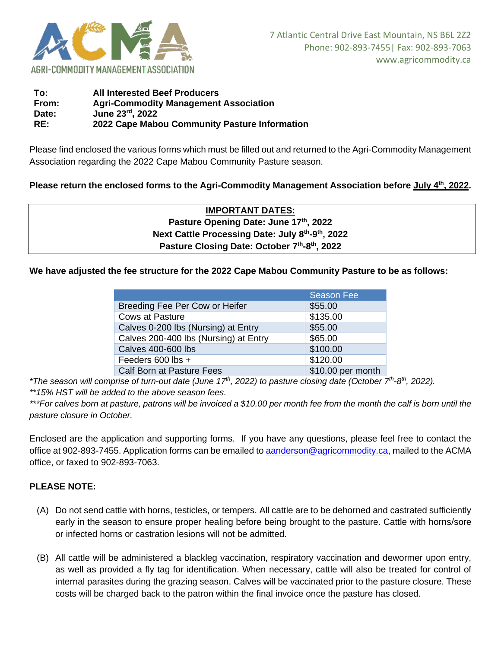

| <b>All Interested Beef Producers</b>          |
|-----------------------------------------------|
| <b>Agri-Commodity Management Association</b>  |
| June 23rd, 2022                               |
| 2022 Cape Mabou Community Pasture Information |
|                                               |

Please find enclosed the various forms which must be filled out and returned to the Agri-Commodity Management Association regarding the 2022 Cape Mabou Community Pasture season.

## **Please return the enclosed forms to the Agri-Commodity Management Association before July 4 th, 2022.**

**IMPORTANT DATES: Pasture Opening Date: June 17th, 2022 Next Cattle Processing Date: July 8th -9 th, 2022 Pasture Closing Date: October 7th -8 th, 2022**

#### **We have adjusted the fee structure for the 2022 Cape Mabou Community Pasture to be as follows:**

|                                       | <b>Season Fee</b> |
|---------------------------------------|-------------------|
| Breeding Fee Per Cow or Heifer        | \$55.00           |
| <b>Cows at Pasture</b>                | \$135.00          |
| Calves 0-200 lbs (Nursing) at Entry   | \$55.00           |
| Calves 200-400 lbs (Nursing) at Entry | \$65.00           |
| <b>Calves 400-600 lbs</b>             | \$100.00          |
| Feeders 600 lbs +                     | \$120.00          |
| Calf Born at Pasture Fees             | \$10.00 per month |

*\*The season will comprise of turn-out date (June 17<sup>th</sup>, 2022) to pasture closing date (October 7<sup>th</sup>-8<sup>th</sup>, 2022).* 

*\*\*15% HST will be added to the above season fees.*

*\*\*\*For calves born at pasture, patrons will be invoiced a \$10.00 per month fee from the month the calf is born until the pasture closure in October.*

Enclosed are the application and supporting forms. If you have any questions, please feel free to contact the office at 902-893-7455. Application forms can be emailed to [aanderson@agricommodity.ca,](mailto:aanderson@agricommodity.ca) mailed to the ACMA office, or faxed to 902-893-7063.

### **PLEASE NOTE:**

- (A) Do not send cattle with horns, testicles, or tempers. All cattle are to be dehorned and castrated sufficiently early in the season to ensure proper healing before being brought to the pasture. Cattle with horns/sore or infected horns or castration lesions will not be admitted.
- (B) All cattle will be administered a blackleg vaccination, respiratory vaccination and dewormer upon entry, as well as provided a fly tag for identification. When necessary, cattle will also be treated for control of internal parasites during the grazing season. Calves will be vaccinated prior to the pasture closure. These costs will be charged back to the patron within the final invoice once the pasture has closed.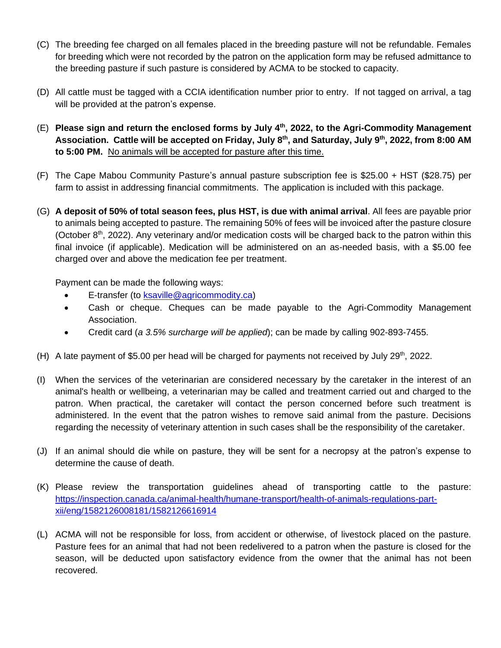- (C) The breeding fee charged on all females placed in the breeding pasture will not be refundable. Females for breeding which were not recorded by the patron on the application form may be refused admittance to the breeding pasture if such pasture is considered by ACMA to be stocked to capacity.
- (D) All cattle must be tagged with a CCIA identification number prior to entry. If not tagged on arrival, a tag will be provided at the patron's expense.
- (E) **Please sign and return the enclosed forms by July 4 th, 2022, to the Agri-Commodity Management Association. Cattle will be accepted on Friday, July 8 th , and Saturday, July 9th , 2022, from 8:00 AM to 5:00 PM.** No animals will be accepted for pasture after this time.
- (F) The Cape Mabou Community Pasture's annual pasture subscription fee is \$25.00 + HST (\$28.75) per farm to assist in addressing financial commitments. The application is included with this package.
- (G) **A deposit of 50% of total season fees, plus HST, is due with animal arrival**. All fees are payable prior to animals being accepted to pasture. The remaining 50% of fees will be invoiced after the pasture closure (October  $8<sup>th</sup>$ , 2022). Any veterinary and/or medication costs will be charged back to the patron within this final invoice (if applicable). Medication will be administered on an as-needed basis, with a \$5.00 fee charged over and above the medication fee per treatment.

Payment can be made the following ways:

- E-transfer (to [ksaville@agricommodity.ca\)](mailto:ksaville@agricommodity.ca)
- Cash or cheque. Cheques can be made payable to the Agri-Commodity Management Association.
- Credit card (*a 3.5% surcharge will be applied*); can be made by calling 902-893-7455.
- (H) A late payment of \$5.00 per head will be charged for payments not received by July 29<sup>th</sup>, 2022.
- (I) When the services of the veterinarian are considered necessary by the caretaker in the interest of an animal's health or wellbeing, a veterinarian may be called and treatment carried out and charged to the patron. When practical, the caretaker will contact the person concerned before such treatment is administered. In the event that the patron wishes to remove said animal from the pasture. Decisions regarding the necessity of veterinary attention in such cases shall be the responsibility of the caretaker.
- (J) If an animal should die while on pasture, they will be sent for a necropsy at the patron's expense to determine the cause of death.
- (K) Please review the transportation guidelines ahead of transporting cattle to the pasture: [https://inspection.canada.ca/animal-health/humane-transport/health-of-animals-regulations-part](https://inspection.canada.ca/animal-health/humane-transport/health-of-animals-regulations-part-xii/eng/1582126008181/1582126616914)[xii/eng/1582126008181/1582126616914](https://inspection.canada.ca/animal-health/humane-transport/health-of-animals-regulations-part-xii/eng/1582126008181/1582126616914)
- (L) ACMA will not be responsible for loss, from accident or otherwise, of livestock placed on the pasture. Pasture fees for an animal that had not been redelivered to a patron when the pasture is closed for the season, will be deducted upon satisfactory evidence from the owner that the animal has not been recovered.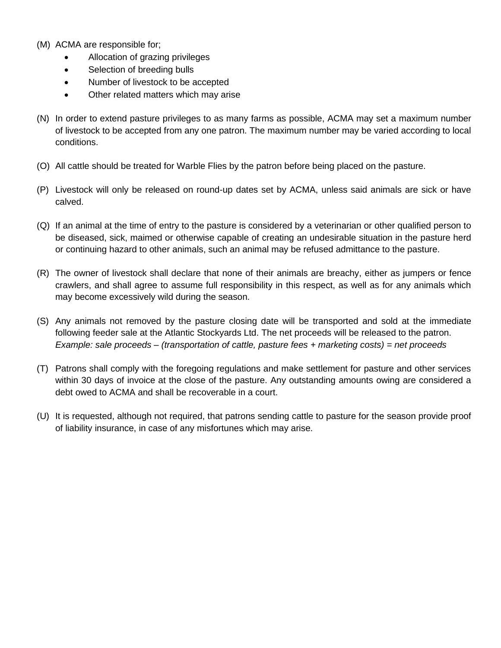- (M) ACMA are responsible for;
	- Allocation of grazing privileges
	- Selection of breeding bulls
	- Number of livestock to be accepted
	- Other related matters which may arise
- (N) In order to extend pasture privileges to as many farms as possible, ACMA may set a maximum number of livestock to be accepted from any one patron. The maximum number may be varied according to local conditions.
- (O) All cattle should be treated for Warble Flies by the patron before being placed on the pasture.
- (P) Livestock will only be released on round-up dates set by ACMA, unless said animals are sick or have calved.
- (Q) If an animal at the time of entry to the pasture is considered by a veterinarian or other qualified person to be diseased, sick, maimed or otherwise capable of creating an undesirable situation in the pasture herd or continuing hazard to other animals, such an animal may be refused admittance to the pasture.
- (R) The owner of livestock shall declare that none of their animals are breachy, either as jumpers or fence crawlers, and shall agree to assume full responsibility in this respect, as well as for any animals which may become excessively wild during the season.
- (S) Any animals not removed by the pasture closing date will be transported and sold at the immediate following feeder sale at the Atlantic Stockyards Ltd. The net proceeds will be released to the patron. *Example: sale proceeds – (transportation of cattle, pasture fees + marketing costs) = net proceeds*
- (T) Patrons shall comply with the foregoing regulations and make settlement for pasture and other services within 30 days of invoice at the close of the pasture. Any outstanding amounts owing are considered a debt owed to ACMA and shall be recoverable in a court.
- (U) It is requested, although not required, that patrons sending cattle to pasture for the season provide proof of liability insurance, in case of any misfortunes which may arise.